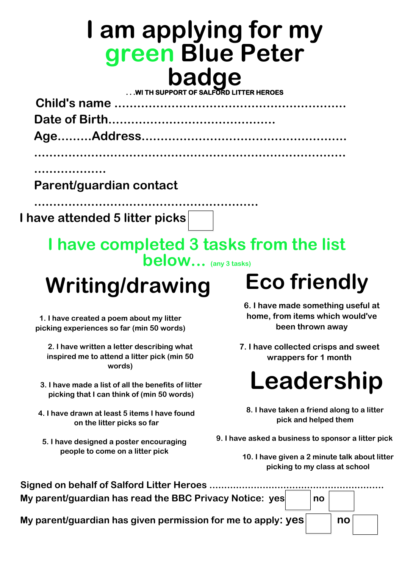### **I am applying for my green Blue Peter badge . . .WI TH SUPPORT OF SALFORD LITTER HEROES**

 **Child's name ............................................................. Date of Birth............................................ Age.........Address......................................................**

**..................................................................................**

**...................**

**Parent/guardian contact** 

**...........................................................**

**I have attended 5 litter picks** 

**I have completed 3 tasks from the list below... (any 3 tasks)** 

## **Writing/drawing**

**1. I have created a poem about my litter picking experiences so far (min 50 words)** 

| Signed on behalf of Salford Litter Heroes                    |    |    |  |
|--------------------------------------------------------------|----|----|--|
| My parent/guardian has read the BBC Privacy Notice: yes      | no |    |  |
| My parent/guardian has given permission for me to apply: yes |    | no |  |

**2. I have written a letter describing what inspired me to attend a litter pick (min 50 words)** 

- **3. I have made a list of all the benefits of litter picking that I can think of (min 50 words)**
- **4. I have drawn at least 5 items I have found on the litter picks so far** 
	- **5. I have designed a poster encouraging people to come on a litter pick**

# **Eco friendly**

- **6. I have made something useful at home, from items which would've been thrown away**
- **7. I have collected crisps and sweet wrappers for 1 month**



- **8. I have taken a friend along to a litter pick and helped them**
- **9. I have asked a business to sponsor a litter pick**

**10. I have given a 2 minute talk about litter picking to my class at school**